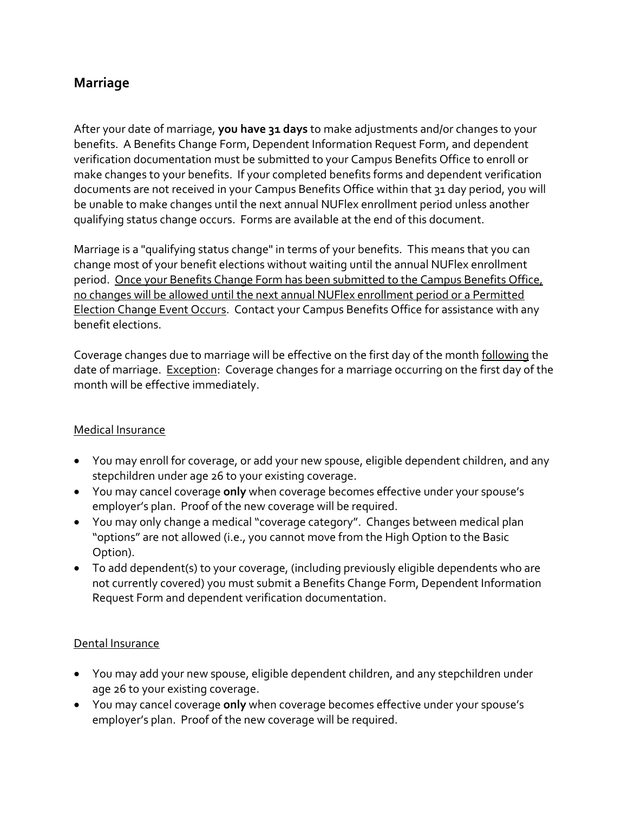# **Marriage**

After your date of marriage, **you have 31 days** to make adjustments and/or changes to your benefits. A Benefits Change Form, Dependent Information Request Form, and dependent verification documentation must be submitted to your Campus Benefits Office to enroll or make changes to your benefits. If your completed benefits forms and dependent verification documents are not received in your Campus Benefits Office within that 31 day period, you will be unable to make changes until the next annual NUFlex enrollment period unless another qualifying status change occurs. Forms are available at the end of this document.

Marriage is a "qualifying status change" in terms of your benefits. This means that you can change most of your benefit elections without waiting until the annual NUFlex enrollment period. Once your Benefits Change Form has been submitted to the Campus Benefits Office, no changes will be allowed until the next annual NUFlex enrollment period or a Permitted Election Change Event Occurs. Contact your Campus Benefits Office for assistance with any benefit elections.

Coverage changes due to marriage will be effective on the first day of the month following the date of marriage. Exception: Coverage changes for a marriage occurring on the first day of the month will be effective immediately.

#### Medical Insurance

- You may enroll for coverage, or add your new spouse, eligible dependent children, and any stepchildren under age 26 to your existing coverage.
- You may cancel coverage **only** when coverage becomes effective under your spouse's employer's plan. Proof of the new coverage will be required.
- You may only change a medical "coverage category". Changes between medical plan "options" are not allowed (i.e., you cannot move from the High Option to the Basic Option).
- To add dependent(s) to your coverage, (including previously eligible dependents who are not currently covered) you must submit a Benefits Change Form, Dependent Information Request Form and dependent verification documentation.

#### Dental Insurance

- You may add your new spouse, eligible dependent children, and any stepchildren under age 26 to your existing coverage.
- You may cancel coverage **only** when coverage becomes effective under your spouse's employer's plan. Proof of the new coverage will be required.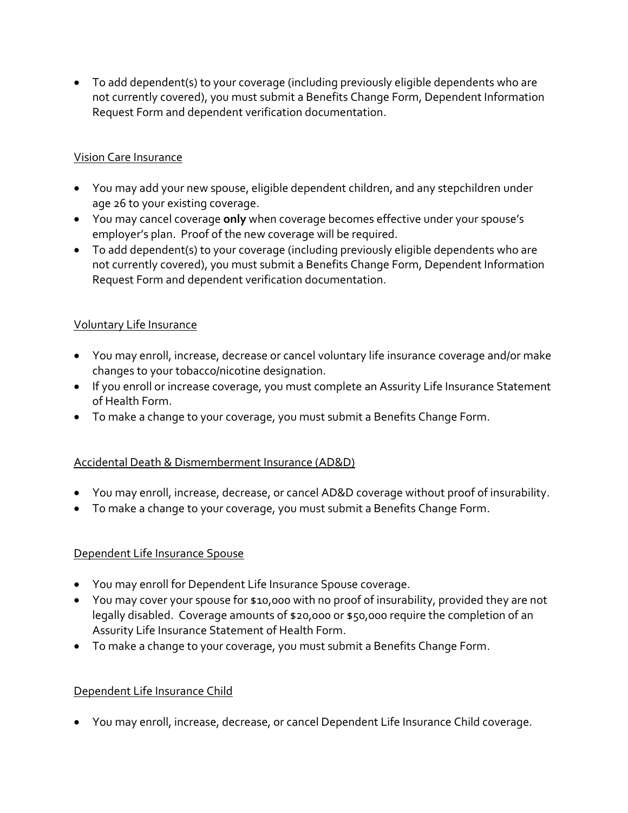To add dependent(s) to your coverage (including previously eligible dependents who are not currently covered), you must submit a Benefits Change Form, Dependent Information Request Form and dependent verification documentation.

### Vision Care Insurance

- You may add your new spouse, eligible dependent children, and any stepchildren under age 26 to your existing coverage.
- You may cancel coverage **only** when coverage becomes effective under your spouse's employer's plan. Proof of the new coverage will be required.
- To add dependent(s) to your coverage (including previously eligible dependents who are not currently covered), you must submit a Benefits Change Form, Dependent Information Request Form and dependent verification documentation.

## Voluntary Life Insurance

- You may enroll, increase, decrease or cancel voluntary life insurance coverage and/or make changes to your tobacco/nicotine designation.
- If you enroll or increase coverage, you must complete an Assurity Life Insurance Statement of Health Form.
- To make a change to your coverage, you must submit a Benefits Change Form.

## Accidental Death & Dismemberment Insurance (AD&D)

- You may enroll, increase, decrease, or cancel AD&D coverage without proof of insurability.
- To make a change to your coverage, you must submit a Benefits Change Form.

#### Dependent Life Insurance Spouse

- You may enroll for Dependent Life Insurance Spouse coverage.
- You may cover your spouse for \$10,000 with no proof of insurability, provided they are not legally disabled. Coverage amounts of \$20,000 or \$50,000 require the completion of an Assurity Life Insurance Statement of Health Form.
- To make a change to your coverage, you must submit a Benefits Change Form.

#### Dependent Life Insurance Child

You may enroll, increase, decrease, or cancel Dependent Life Insurance Child coverage.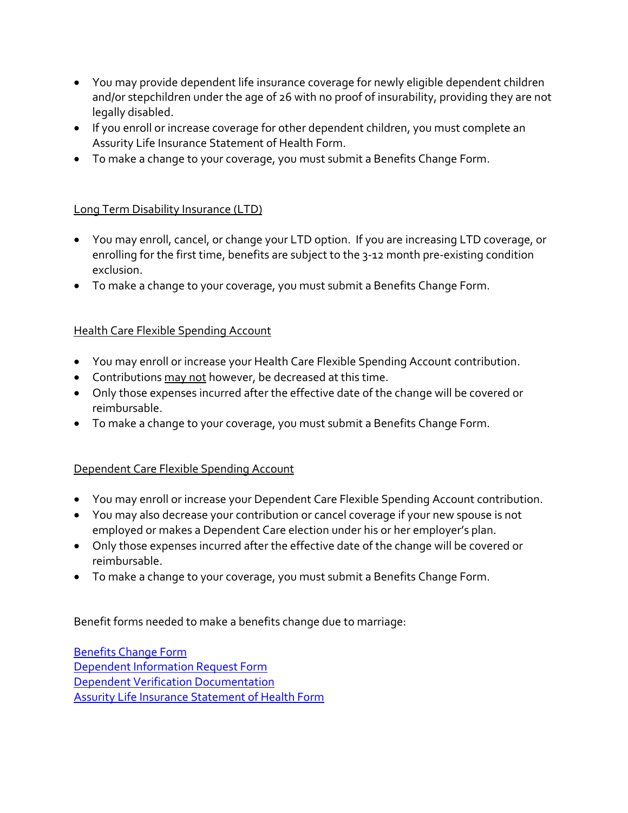- You may provide dependent life insurance coverage for newly eligible dependent children and/or stepchildren under the age of 26 with no proof of insurability, providing they are not legally disabled.
- If you enroll or increase coverage for other dependent children, you must complete an Assurity Life Insurance Statement of Health Form.
- To make a change to your coverage, you must submit a Benefits Change Form.

## Long Term Disability Insurance (LTD)

- You may enroll, cancel, or change your LTD option. If you are increasing LTD coverage, or enrolling for the first time, benefits are subject to the 3-12 month pre-existing condition exclusion.
- To make a change to your coverage, you must submit a Benefits Change Form.

## **Health Care Flexible Spending Account**

- You may enroll or increase your Health Care Flexible Spending Account contribution.
- Contributions may not however, be decreased at this time.
- Only those expenses incurred after the effective date of the change will be covered or reimbursable.
- To make a change to your coverage, you must submit a Benefits Change Form.

## Dependent Care Flexible Spending Account

- You may enroll or increase your Dependent Care Flexible Spending Account contribution.
- You may also decrease your contribution or cancel coverage if your new spouse is not employed or makes a Dependent Care election under his or her employer's plan.
- Only those expenses incurred after the effective date of the change will be covered or reimbursable.
- To make a change to your coverage, you must submit a Benefits Change Form.

Benefit forms needed to make a benefits change due to marriage:

[Benefits Change Form](http://www.nebraska.edu/docs/benefits/BenefitsChangeForm.pdf) [Dependent Information Request Form](http://www.nebraska.edu/docs/benefits/DependentInformationRequestForm.pdf) Dependent [Verification Documentation](http://www.nebraska.edu/docs/benefits/DepVerDocReq.pdf) [Assurity Life Insurance Statement of Health Form](http://www.nebraska.edu/docs/benefits/StatementofHealthForm.pdf)